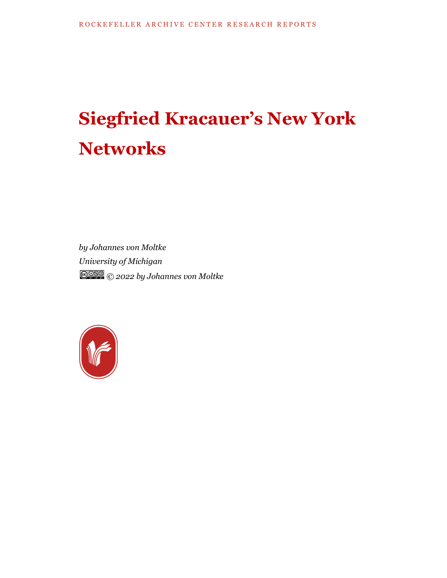# **Siegfried Kracauer's New York Networks**

*by Johannes von Moltke University of Michigan © 2022 by Johannes von Moltke*

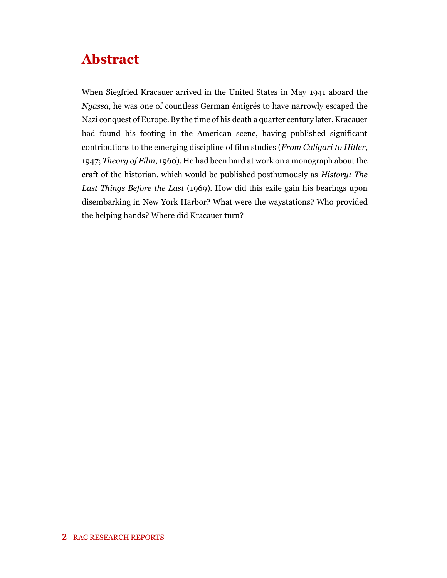## **Abstract**

When Siegfried Kracauer arrived in the United States in May 1941 aboard the *Nyassa*, he was one of countless German émigrés to have narrowly escaped the Nazi conquest of Europe. By the time of his death a quarter century later, Kracauer had found his footing in the American scene, having published significant contributions to the emerging discipline of film studies (*From Caligari to Hitler*, 1947; *Theory of Film*, 1960). He had been hard at work on a monograph about the craft of the historian, which would be published posthumously as *History: The Last Things Before the Last* (1969). How did this exile gain his bearings upon disembarking in New York Harbor? What were the waystations? Who provided the helping hands? Where did Kracauer turn?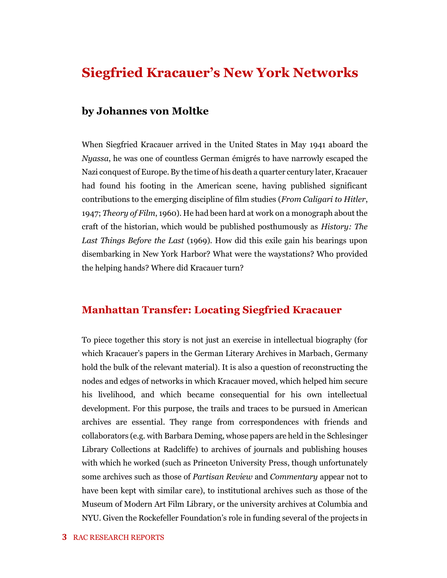## **Siegfried Kracauer's New York Networks**

#### **by Johannes von Moltke**

When Siegfried Kracauer arrived in the United States in May 1941 aboard the *Nyassa*, he was one of countless German émigrés to have narrowly escaped the Nazi conquest of Europe. By the time of his death a quarter century later, Kracauer had found his footing in the American scene, having published significant contributions to the emerging discipline of film studies (*From Caligari to Hitler*, 1947; *Theory of Film*, 1960). He had been hard at work on a monograph about the craft of the historian, which would be published posthumously as *History: The Last Things Before the Last* (1969). How did this exile gain his bearings upon disembarking in New York Harbor? What were the waystations? Who provided the helping hands? Where did Kracauer turn?

#### **Manhattan Transfer: Locating Siegfried Kracauer**

To piece together this story is not just an exercise in intellectual biography (for which Kracauer's papers in the German Literary Archives in Marbach, Germany hold the bulk of the relevant material). It is also a question of reconstructing the nodes and edges of networks in which Kracauer moved, which helped him secure his livelihood, and which became consequential for his own intellectual development. For this purpose, the trails and traces to be pursued in American archives are essential. They range from correspondences with friends and collaborators (e.g. with Barbara Deming, whose papers are held in the Schlesinger Library Collections at Radcliffe) to archives of journals and publishing houses with which he worked (such as Princeton University Press, though unfortunately some archives such as those of *Partisan Review* and *Commentary* appear not to have been kept with similar care), to institutional archives such as those of the Museum of Modern Art Film Library, or the university archives at Columbia and NYU. Given the Rockefeller Foundation's role in funding several of the projects in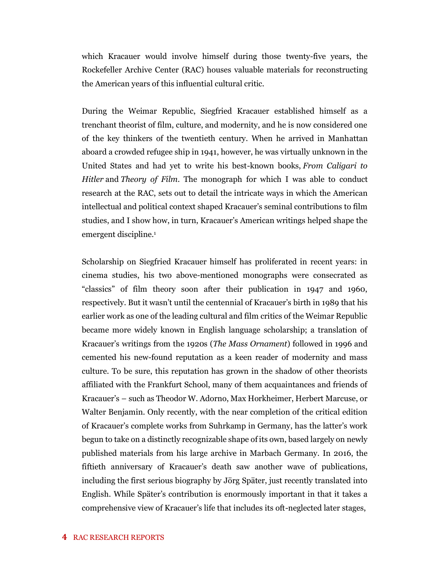which Kracauer would involve himself during those twenty-five years, the Rockefeller Archive Center (RAC) houses valuable materials for reconstructing the American years of this influential cultural critic.

During the Weimar Republic, Siegfried Kracauer established himself as a trenchant theorist of film, culture, and modernity, and he is now considered one of the key thinkers of the twentieth century. When he arrived in Manhattan aboard a crowded refugee ship in 1941, however, he was virtually unknown in the United States and had yet to write his best-known books, *From Caligari to Hitler* and *Theory of Film*. The monograph for which I was able to conduct research at the RAC, sets out to detail the intricate ways in which the American intellectual and political context shaped Kracauer's seminal contributions to film studies, and I show how, in turn, Kracauer's American writings helped shape the emergent discipline.<sup>1</sup>

Scholarship on Siegfried Kracauer himself has proliferated in recent years: in cinema studies, his two above-mentioned monographs were consecrated as "classics" of film theory soon after their publication in 1947 and 1960, respectively. But it wasn't until the centennial of Kracauer's birth in 1989 that his earlier work as one of the leading cultural and film critics of the Weimar Republic became more widely known in English language scholarship; a translation of Kracauer's writings from the 1920s (*The Mass Ornament*) followed in 1996 and cemented his new-found reputation as a keen reader of modernity and mass culture. To be sure, this reputation has grown in the shadow of other theorists affiliated with the Frankfurt School, many of them acquaintances and friends of Kracauer's – such as Theodor W. Adorno, Max Horkheimer, Herbert Marcuse, or Walter Benjamin. Only recently, with the near completion of the critical edition of Kracauer's complete works from Suhrkamp in Germany, has the latter's work begun to take on a distinctly recognizable shape of its own, based largely on newly published materials from his large archive in Marbach Germany. In 2016, the fiftieth anniversary of Kracauer's death saw another wave of publications, including the first serious biography by Jörg Später, just recently translated into English. While Später's contribution is enormously important in that it takes a comprehensive view of Kracauer's life that includes its oft-neglected later stages,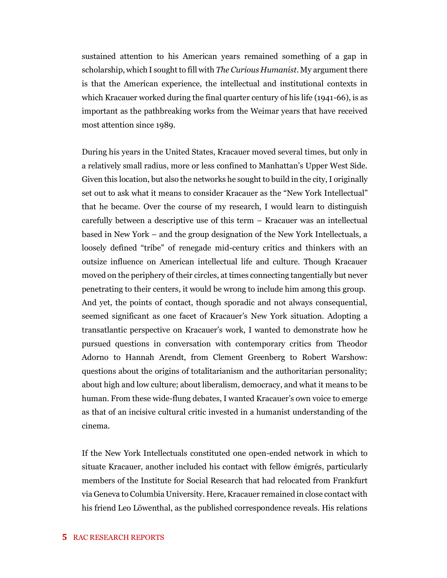sustained attention to his American years remained something of a gap in scholarship, which I sought to fill with *The Curious Humanist*. My argument there is that the American experience, the intellectual and institutional contexts in which Kracauer worked during the final quarter century of his life (1941-66), is as important as the pathbreaking works from the Weimar years that have received most attention since 1989.

During his years in the United States, Kracauer moved several times, but only in a relatively small radius, more or less confined to Manhattan's Upper West Side. Given this location, but also the networks he sought to build in the city, I originally set out to ask what it means to consider Kracauer as the "New York Intellectual" that he became. Over the course of my research, I would learn to distinguish carefully between a descriptive use of this term – Kracauer was an intellectual based in New York – and the group designation of the New York Intellectuals, a loosely defined "tribe" of renegade mid-century critics and thinkers with an outsize influence on American intellectual life and culture. Though Kracauer moved on the periphery of their circles, at times connecting tangentially but never penetrating to their centers, it would be wrong to include him among this group. And yet, the points of contact, though sporadic and not always consequential, seemed significant as one facet of Kracauer's New York situation. Adopting a transatlantic perspective on Kracauer's work, I wanted to demonstrate how he pursued questions in conversation with contemporary critics from Theodor Adorno to Hannah Arendt, from Clement Greenberg to Robert Warshow: questions about the origins of totalitarianism and the authoritarian personality; about high and low culture; about liberalism, democracy, and what it means to be human. From these wide-flung debates, I wanted Kracauer's own voice to emerge as that of an incisive cultural critic invested in a humanist understanding of the cinema.

If the New York Intellectuals constituted one open-ended network in which to situate Kracauer, another included his contact with fellow émigrés, particularly members of the Institute for Social Research that had relocated from Frankfurt via Geneva to Columbia University. Here, Kracauer remained in close contact with his friend Leo Löwenthal, as the published correspondence reveals. His relations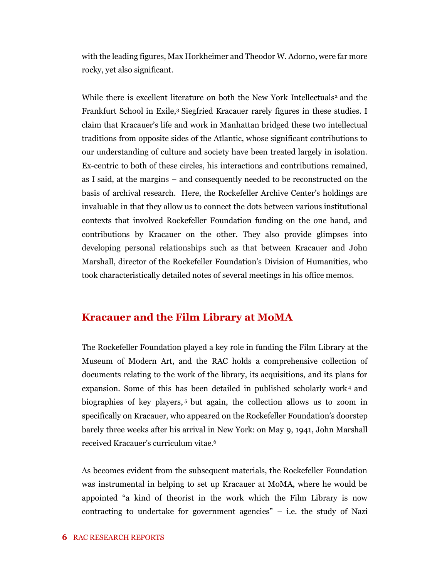with the leading figures, Max Horkheimer and Theodor W. Adorno, were far more rocky, yet also significant.

While there is excellent literature on both the New York Intellectuals<sup>2</sup> and the Frankfurt School in Exile,<sup>3</sup> Siegfried Kracauer rarely figures in these studies. I claim that Kracauer's life and work in Manhattan bridged these two intellectual traditions from opposite sides of the Atlantic, whose significant contributions to our understanding of culture and society have been treated largely in isolation. Ex-centric to both of these circles, his interactions and contributions remained, as I said, at the margins – and consequently needed to be reconstructed on the basis of archival research. Here, the Rockefeller Archive Center's holdings are invaluable in that they allow us to connect the dots between various institutional contexts that involved Rockefeller Foundation funding on the one hand, and contributions by Kracauer on the other. They also provide glimpses into developing personal relationships such as that between Kracauer and John Marshall, director of the Rockefeller Foundation's Division of Humanities, who took characteristically detailed notes of several meetings in his office memos.

#### **Kracauer and the Film Library at MoMA**

The Rockefeller Foundation played a key role in funding the Film Library at the Museum of Modern Art, and the RAC holds a comprehensive collection of documents relating to the work of the library, its acquisitions, and its plans for expansion. Some of this has been detailed in published scholarly work <sup>4</sup> and biographies of key players, <sup>5</sup> but again, the collection allows us to zoom in specifically on Kracauer, who appeared on the Rockefeller Foundation's doorstep barely three weeks after his arrival in New York: on May 9, 1941, John Marshall received Kracauer's curriculum vitae. 6

As becomes evident from the subsequent materials, the Rockefeller Foundation was instrumental in helping to set up Kracauer at MoMA, where he would be appointed "a kind of theorist in the work which the Film Library is now contracting to undertake for government agencies"  $-$  i.e. the study of Nazi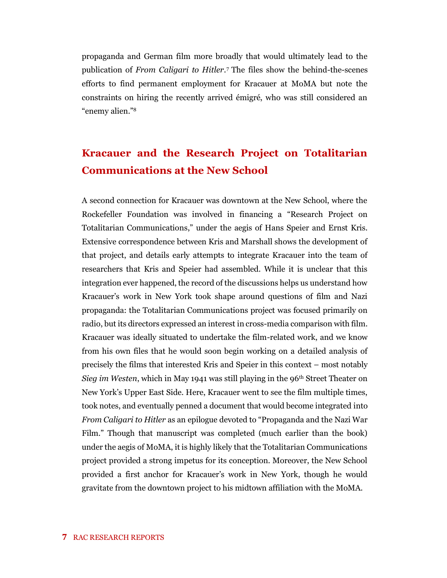propaganda and German film more broadly that would ultimately lead to the publication of *From Caligari to Hitler*. <sup>7</sup> The files show the behind-the-scenes efforts to find permanent employment for Kracauer at MoMA but note the constraints on hiring the recently arrived émigré, who was still considered an "enemy alien."<sup>8</sup>

### **Kracauer and the Research Project on Totalitarian Communications at the New School**

A second connection for Kracauer was downtown at the New School, where the Rockefeller Foundation was involved in financing a "Research Project on Totalitarian Communications," under the aegis of Hans Speier and Ernst Kris. Extensive correspondence between Kris and Marshall shows the development of that project, and details early attempts to integrate Kracauer into the team of researchers that Kris and Speier had assembled. While it is unclear that this integration ever happened, the record of the discussions helps us understand how Kracauer's work in New York took shape around questions of film and Nazi propaganda: the Totalitarian Communications project was focused primarily on radio, but its directors expressed an interest in cross-media comparison with film. Kracauer was ideally situated to undertake the film-related work, and we know from his own files that he would soon begin working on a detailed analysis of precisely the films that interested Kris and Speier in this context – most notably *Sieg im Westen*, which in May 1941 was still playing in the 96<sup>th</sup> Street Theater on New York's Upper East Side. Here, Kracauer went to see the film multiple times, took notes, and eventually penned a document that would become integrated into *From Caligari to Hitler* as an epilogue devoted to "Propaganda and the Nazi War Film." Though that manuscript was completed (much earlier than the book) under the aegis of MoMA, it is highly likely that the Totalitarian Communications project provided a strong impetus for its conception. Moreover, the New School provided a first anchor for Kracauer's work in New York, though he would gravitate from the downtown project to his midtown affiliation with the MoMA.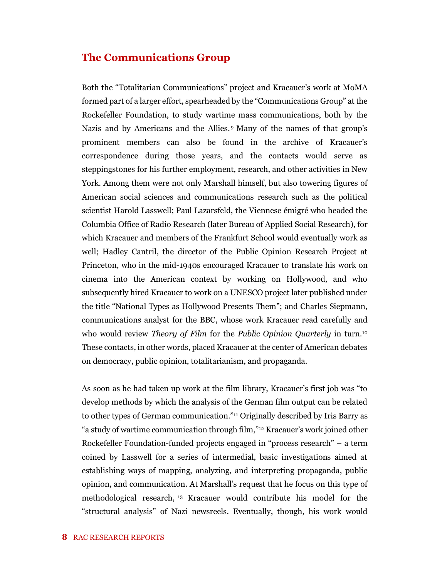#### **The Communications Group**

Both the "Totalitarian Communications" project and Kracauer's work at MoMA formed part of a larger effort, spearheaded by the "Communications Group" at the Rockefeller Foundation, to study wartime mass communications, both by the Nazis and by Americans and the Allies. <sup>9</sup> Many of the names of that group's prominent members can also be found in the archive of Kracauer's correspondence during those years, and the contacts would serve as steppingstones for his further employment, research, and other activities in New York. Among them were not only Marshall himself, but also towering figures of American social sciences and communications research such as the political scientist Harold Lasswell; Paul Lazarsfeld, the Viennese émigré who headed the Columbia Office of Radio Research (later Bureau of Applied Social Research), for which Kracauer and members of the Frankfurt School would eventually work as well; Hadley Cantril, the director of the Public Opinion Research Project at Princeton, who in the mid-1940s encouraged Kracauer to translate his work on cinema into the American context by working on Hollywood, and who subsequently hired Kracauer to work on a UNESCO project later published under the title "National Types as Hollywood Presents Them"; and Charles Siepmann, communications analyst for the BBC, whose work Kracauer read carefully and who would review *Theory of Film* for the *Public Opinion Quarterly* in turn.<sup>10</sup> These contacts, in other words, placed Kracauer at the center of American debates on democracy, public opinion, totalitarianism, and propaganda.

As soon as he had taken up work at the film library, Kracauer's first job was "to develop methods by which the analysis of the German film output can be related to other types of German communication."<sup>11</sup> Originally described by Iris Barry as "a study of wartime communication through film,"<sup>12</sup> Kracauer's work joined other Rockefeller Foundation-funded projects engaged in "process research" – a term coined by Lasswell for a series of intermedial, basic investigations aimed at establishing ways of mapping, analyzing, and interpreting propaganda, public opinion, and communication. At Marshall's request that he focus on this type of methodological research, <sup>13</sup> Kracauer would contribute his model for the "structural analysis" of Nazi newsreels. Eventually, though, his work would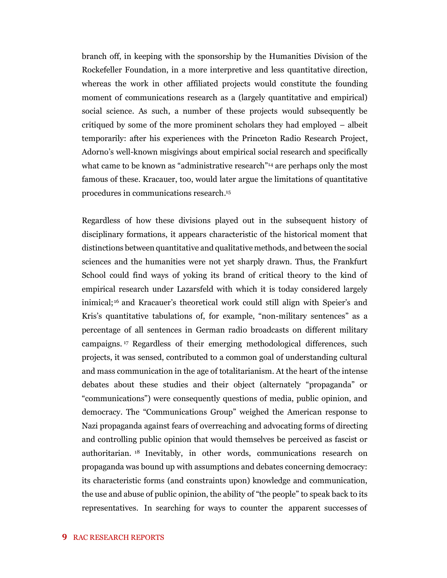branch off, in keeping with the sponsorship by the Humanities Division of the Rockefeller Foundation, in a more interpretive and less quantitative direction, whereas the work in other affiliated projects would constitute the founding moment of communications research as a (largely quantitative and empirical) social science. As such, a number of these projects would subsequently be critiqued by some of the more prominent scholars they had employed – albeit temporarily: after his experiences with the Princeton Radio Research Project, Adorno's well-known misgivings about empirical social research and specifically what came to be known as "administrative research"<sup>14</sup> are perhaps only the most famous of these. Kracauer, too, would later argue the limitations of quantitative procedures in communications research. 15

Regardless of how these divisions played out in the subsequent history of disciplinary formations, it appears characteristic of the historical moment that distinctions between quantitative and qualitative methods, and between the social sciences and the humanities were not yet sharply drawn. Thus, the Frankfurt School could find ways of yoking its brand of critical theory to the kind of empirical research under Lazarsfeld with which it is today considered largely inimical;<sup>16</sup> and Kracauer's theoretical work could still align with Speier's and Kris's quantitative tabulations of, for example, "non-military sentences" as a percentage of all sentences in German radio broadcasts on different military campaigns. <sup>17</sup> Regardless of their emerging methodological differences, such projects, it was sensed, contributed to a common goal of understanding cultural and mass communication in the age of totalitarianism. At the heart of the intense debates about these studies and their object (alternately "propaganda" or "communications") were consequently questions of media, public opinion, and democracy. The "Communications Group" weighed the American response to Nazi propaganda against fears of overreaching and advocating forms of directing and controlling public opinion that would themselves be perceived as fascist or authoritarian. <sup>18</sup> Inevitably, in other words, communications research on propaganda was bound up with assumptions and debates concerning democracy: its characteristic forms (and constraints upon) knowledge and communication, the use and abuse of public opinion, the ability of "the people" to speak back to its representatives. In searching for ways to counter the apparent successes of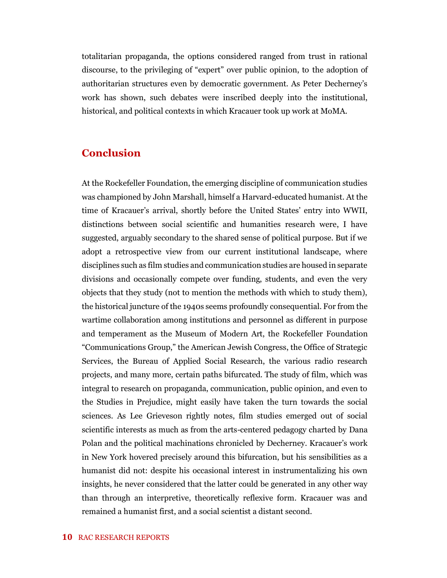totalitarian propaganda, the options considered ranged from trust in rational discourse, to the privileging of "expert" over public opinion, to the adoption of authoritarian structures even by democratic government. As Peter Decherney's work has shown, such debates were inscribed deeply into the institutional, historical, and political contexts in which Kracauer took up work at MoMA.

#### **Conclusion**

At the Rockefeller Foundation, the emerging discipline of communication studies was championed by John Marshall, himself a Harvard-educated humanist. At the time of Kracauer's arrival, shortly before the United States' entry into WWII, distinctions between social scientific and humanities research were, I have suggested, arguably secondary to the shared sense of political purpose. But if we adopt a retrospective view from our current institutional landscape, where disciplines such as film studies and communication studies are housed in separate divisions and occasionally compete over funding, students, and even the very objects that they study (not to mention the methods with which to study them), the historical juncture of the 1940s seems profoundly consequential. For from the wartime collaboration among institutions and personnel as different in purpose and temperament as the Museum of Modern Art, the Rockefeller Foundation "Communications Group," the American Jewish Congress, the Office of Strategic Services, the Bureau of Applied Social Research, the various radio research projects, and many more, certain paths bifurcated. The study of film, which was integral to research on propaganda, communication, public opinion, and even to the Studies in Prejudice, might easily have taken the turn towards the social sciences. As Lee Grieveson rightly notes, film studies emerged out of social scientific interests as much as from the arts-centered pedagogy charted by Dana Polan and the political machinations chronicled by Decherney. Kracauer's work in New York hovered precisely around this bifurcation, but his sensibilities as a humanist did not: despite his occasional interest in instrumentalizing his own insights, he never considered that the latter could be generated in any other way than through an interpretive, theoretically reflexive form. Kracauer was and remained a humanist first, and a social scientist a distant second.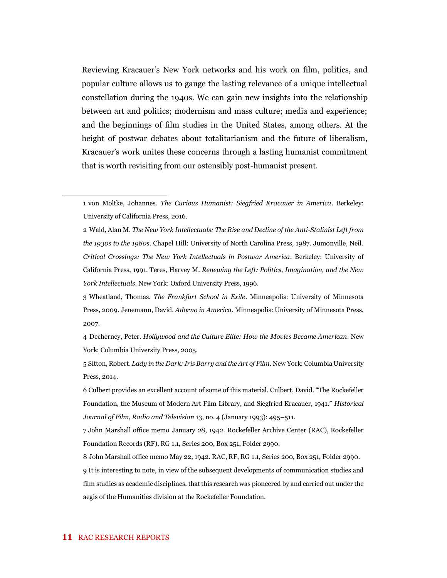Reviewing Kracauer's New York networks and his work on film, politics, and popular culture allows us to gauge the lasting relevance of a unique intellectual constellation during the 1940s. We can gain new insights into the relationship between art and politics; modernism and mass culture; media and experience; and the beginnings of film studies in the United States, among others. At the height of postwar debates about totalitarianism and the future of liberalism, Kracauer's work unites these concerns through a lasting humanist commitment that is worth revisiting from our ostensibly post-humanist present.

4 Decherney, Peter. *Hollywood and the Culture Elite: How the Movies Became American*. New York: Columbia University Press, 2005.

5 Sitton, Robert. *Lady in the Dark: Iris Barry and the Art of Film*. New York: Columbia University Press, 2014.

<sup>1</sup> von Moltke, Johannes. *The Curious Humanist: Siegfried Kracauer in America*. Berkeley: University of California Press, 2016.

<sup>2</sup> Wald, Alan M. *The New York Intellectuals: The Rise and Decline of the Anti-Stalinist Left from the 1930s to the 1980s*. Chapel Hill: University of North Carolina Press, 1987. Jumonville, Neil. *Critical Crossings: The New York Intellectuals in Postwar America*. Berkeley: University of California Press, 1991. Teres, Harvey M. *Renewing the Left: Politics, Imagination, and the New York Intellectuals*. New York: Oxford University Press, 1996.

<sup>3</sup> Wheatland, Thomas. *The Frankfurt School in Exile*. Minneapolis: University of Minnesota Press, 2009. Jenemann, David. *Adorno in America.* Minneapolis: University of Minnesota Press, 2007.

<sup>6</sup> Culbert provides an excellent account of some of this material. Culbert, David. "The Rockefeller Foundation, the Museum of Modern Art Film Library, and Siegfried Kracauer, 1941." *Historical Journal of Film, Radio and Television* 13, no. 4 (January 1993): 495–511.

<sup>7</sup> John Marshall office memo January 28, 1942. Rockefeller Archive Center (RAC), Rockefeller Foundation Records (RF), RG 1.1, Series 200, Box 251, Folder 2990.

<sup>8</sup> John Marshall office memo May 22, 1942. RAC, RF, RG 1.1, Series 200, Box 251, Folder 2990. 9 It is interesting to note, in view of the subsequent developments of communication studies and film studies as academic disciplines, that this research was pioneered by and carried out under the aegis of the Humanities division at the Rockefeller Foundation.